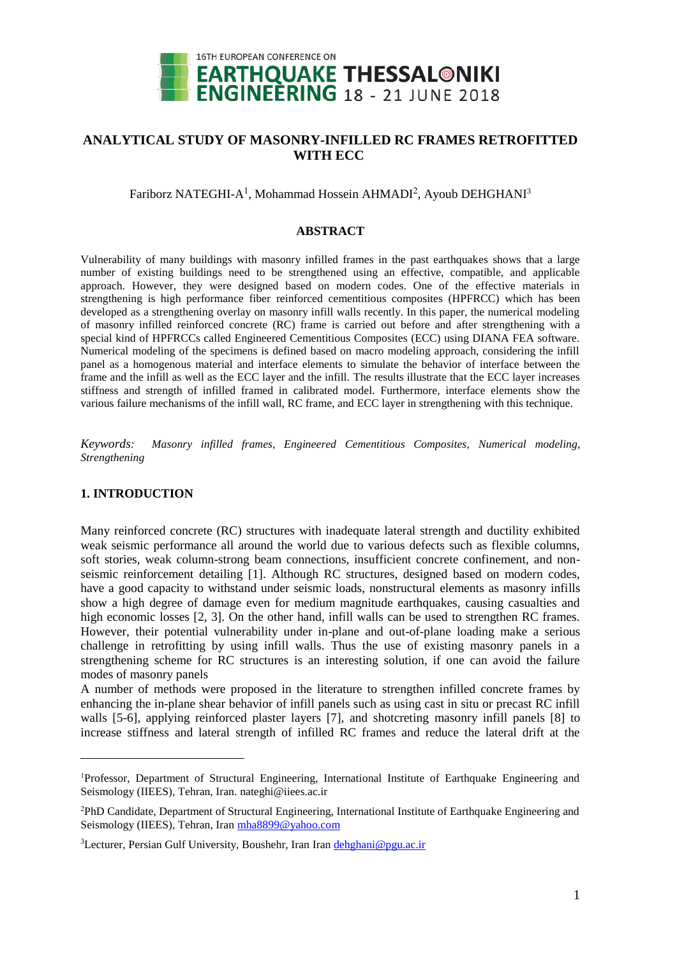

## **ANALYTICAL STUDY OF MASONRY-INFILLED RC FRAMES RETROFITTED WITH ECC**

### Fariborz NATEGHI-A<sup>1</sup>, Mohammad Hossein AHMADI<sup>2</sup>, Ayoub DEHGHANI<sup>3</sup>

#### **ABSTRACT**

Vulnerability of many buildings with masonry infilled frames in the past earthquakes shows that a large number of existing buildings need to be strengthened using an effective, compatible, and applicable approach. However, they were designed based on modern codes. One of the effective materials in strengthening is high performance fiber reinforced cementitious composites (HPFRCC) which has been developed as a strengthening overlay on masonry infill walls recently. In this paper, the numerical modeling of masonry infilled reinforced concrete (RC) frame is carried out before and after strengthening with a special kind of HPFRCCs called Engineered Cementitious Composites (ECC) using DIANA FEA software. Numerical modeling of the specimens is defined based on macro modeling approach, considering the infill panel as a homogenous material and interface elements to simulate the behavior of interface between the frame and the infill as well as the ECC layer and the infill. The results illustrate that the ECC layer increases stiffness and strength of infilled framed in calibrated model. Furthermore, interface elements show the various failure mechanisms of the infill wall, RC frame, and ECC layer in strengthening with this technique.

*Keywords: Masonry infilled frames, Engineered Cementitious Composites, Numerical modeling, Strengthening*

#### **1. INTRODUCTION**

 $\overline{a}$ 

Many reinforced concrete (RC) structures with inadequate lateral strength and ductility exhibited weak seismic performance all around the world due to various defects such as flexible columns, soft stories, weak column-strong beam connections, insufficient concrete confinement, and nonseismic reinforcement detailing [1]. Although RC structures, designed based on modern codes, have a good capacity to withstand under seismic loads, nonstructural elements as masonry infills show a high degree of damage even for medium magnitude earthquakes, causing casualties and high economic losses [2, 3]. On the other hand, infill walls can be used to strengthen RC frames. However, their potential vulnerability under in-plane and out-of-plane loading make a serious challenge in retrofitting by using infill walls. Thus the use of existing masonry panels in a strengthening scheme for RC structures is an interesting solution, if one can avoid the failure modes of masonry panels

A number of methods were proposed in the literature to strengthen infilled concrete frames by enhancing the in-plane shear behavior of infill panels such as using cast in situ or precast RC infill walls [5-6], applying reinforced plaster layers [7], and shotcreting masonry infill panels [8] to increase stiffness and lateral strength of infilled RC frames and reduce the lateral drift at the

<sup>1</sup>Professor, Department of Structural Engineering, International Institute of Earthquake Engineering and Seismology (IIEES), Tehran, Iran. [nateghi@iiees.ac.ir](mailto:nateghi@iiees.ac.ir)

<sup>2</sup>PhD Candidate, Department of Structural Engineering, International Institute of Earthquake Engineering and Seismology (IIEES), Tehran, Ira[n mha8899@yahoo.com](mailto:mha8899@yahoo.com)

 $3$ Lecturer, Persian Gulf University, Boushehr, Iran Ira[n dehghani@pgu.ac.ir](mailto:dehghani@pgu.ac.ir)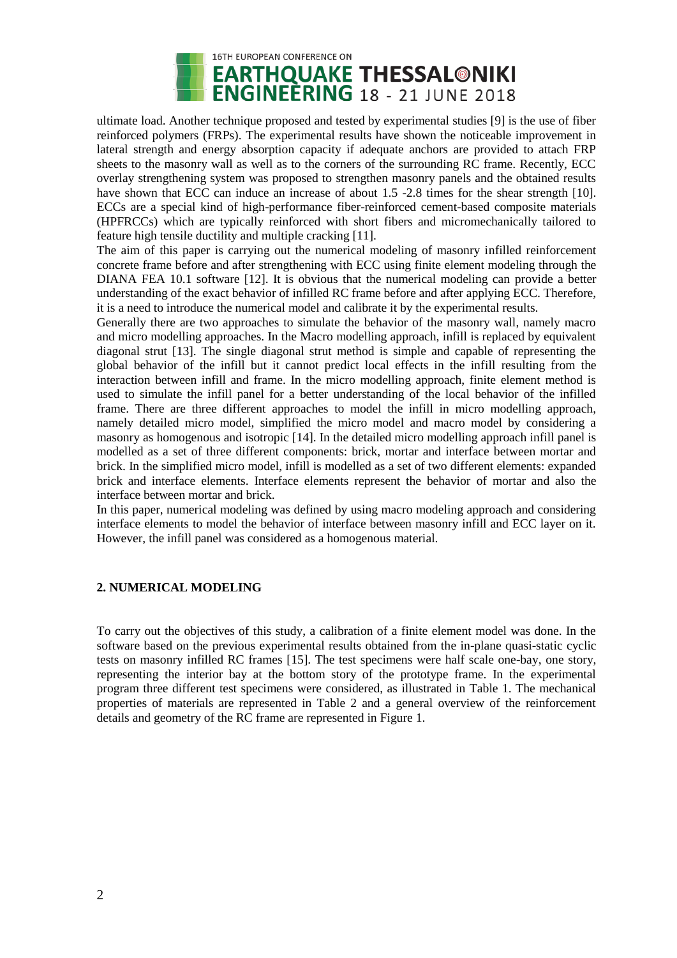

ultimate load. Another technique proposed and tested by experimental studies [9] is the use of fiber reinforced polymers (FRPs). The experimental results have shown the noticeable improvement in lateral strength and energy absorption capacity if adequate anchors are provided to attach FRP sheets to the masonry wall as well as to the corners of the surrounding RC frame. Recently, ECC overlay strengthening system was proposed to strengthen masonry panels and the obtained results have shown that ECC can induce an increase of about 1.5 -2.8 times for the shear strength [10]. ECCs are a special kind of high-performance fiber-reinforced cement-based composite materials (HPFRCCs) which are typically reinforced with short fibers and micromechanically tailored to feature high tensile ductility and multiple cracking [11].

The aim of this paper is carrying out the numerical modeling of masonry infilled reinforcement concrete frame before and after strengthening with ECC using finite element modeling through the DIANA FEA 10.1 software [12]. It is obvious that the numerical modeling can provide a better understanding of the exact behavior of infilled RC frame before and after applying ECC. Therefore, it is a need to introduce the numerical model and calibrate it by the experimental results.

Generally there are two approaches to simulate the behavior of the masonry wall, namely macro and micro modelling approaches. In the Macro modelling approach, infill is replaced by equivalent diagonal strut [13]. The single diagonal strut method is simple and capable of representing the global behavior of the infill but it cannot predict local effects in the infill resulting from the interaction between infill and frame. In the micro modelling approach, finite element method is used to simulate the infill panel for a better understanding of the local behavior of the infilled frame. There are three different approaches to model the infill in micro modelling approach, namely detailed micro model, simplified the micro model and macro model by considering a masonry as homogenous and isotropic [14]. In the detailed micro modelling approach infill panel is modelled as a set of three different components: brick, mortar and interface between mortar and brick. In the simplified micro model, infill is modelled as a set of two different elements: expanded brick and interface elements. Interface elements represent the behavior of mortar and also the interface between mortar and brick.

In this paper, numerical modeling was defined by using macro modeling approach and considering interface elements to model the behavior of interface between masonry infill and ECC layer on it. However, the infill panel was considered as a homogenous material.

### **2. NUMERICAL MODELING**

To carry out the objectives of this study, a calibration of a finite element model was done. In the software based on the previous experimental results obtained from the in-plane quasi-static cyclic tests on masonry infilled RC frames [15]. The test specimens were half scale one-bay, one story, representing the interior bay at the bottom story of the prototype frame. In the experimental program three different test specimens were considered, as illustrated in Table 1. The mechanical properties of materials are represented in Table 2 and a general overview of the reinforcement details and geometry of the RC frame are represented in Figure 1.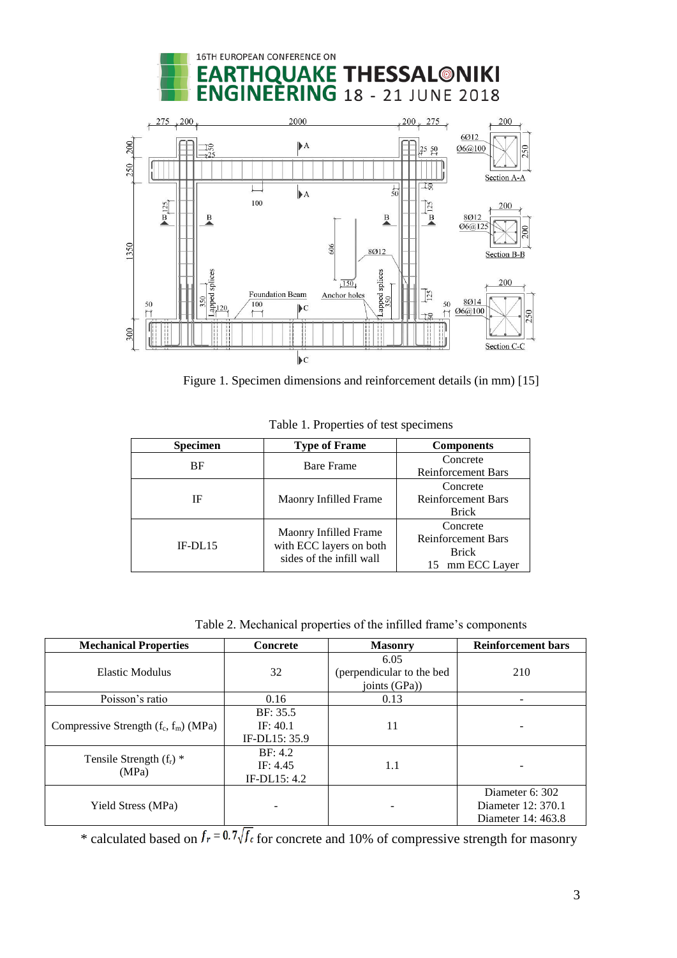# 16TH EUROPEAN CONFERENCE ON **IQUAKE THESSAL@NIKI INEERING** 18 - 21 JUNE 2018



Figure 1. Specimen dimensions and reinforcement details (in mm) [15]

| <b>Specimen</b> | <b>Type of Frame</b>                                | <b>Components</b>         |  |
|-----------------|-----------------------------------------------------|---------------------------|--|
| BF              | <b>Bare Frame</b>                                   | Concrete                  |  |
|                 |                                                     | <b>Reinforcement Bars</b> |  |
| IF              |                                                     | Concrete                  |  |
|                 | Maonry Infilled Frame                               | <b>Reinforcement Bars</b> |  |
|                 |                                                     | <b>Brick</b>              |  |
| IF-DL15         | Maonry Infilled Frame                               | Concrete                  |  |
|                 |                                                     | <b>Reinforcement Bars</b> |  |
|                 | with ECC layers on both<br>sides of the infill wall | <b>Brick</b>              |  |
|                 |                                                     | mm ECC Layer<br>15.       |  |

Table 1. Properties of test specimens

Table 2. Mechanical properties of the infilled frame's components

| <b>Mechanical Properties</b>            | <b>Concrete</b> | <b>Masonry</b>            | <b>Reinforcement bars</b> |
|-----------------------------------------|-----------------|---------------------------|---------------------------|
|                                         |                 | 6.05                      |                           |
| Elastic Modulus                         | 32              | (perpendicular to the bed | 210                       |
|                                         |                 | joints $(GPa)$            |                           |
| Poisson's ratio                         | 0.16            | 0.13                      |                           |
| Compressive Strength $(f_c, f_m)$ (MPa) | BF: 35.5        |                           |                           |
|                                         | IF: 40.1        | 11                        |                           |
|                                         | IF-DL15: 35.9   |                           |                           |
| Tensile Strength $(f_r)$ *<br>(MPa)     | BF: 4.2         |                           |                           |
|                                         | IF: 4.45        | 1.1                       |                           |
|                                         | IF-DL15: 4.2    |                           |                           |
| Yield Stress (MPa)                      |                 |                           | Diameter 6: 302           |
|                                         |                 |                           | Diameter 12: 370.1        |
|                                         |                 |                           | Diameter 14: 463.8        |

\* calculated based on  $J_r = 0.7 \sqrt{f_c}$  for concrete and 10% of compressive strength for masonry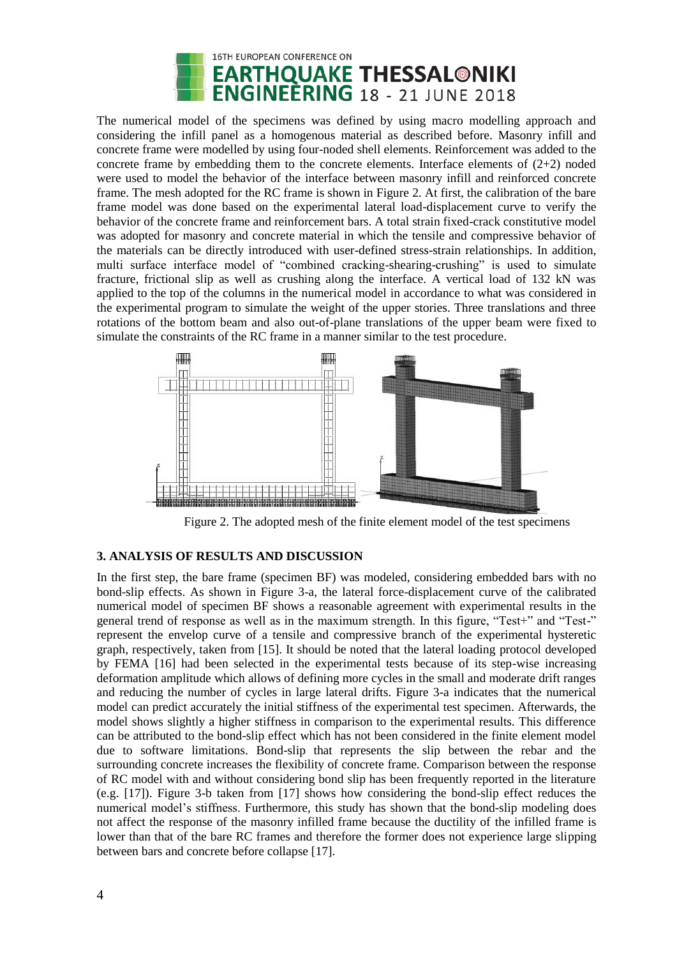

The numerical model of the specimens was defined by using macro modelling approach and considering the infill panel as a homogenous material as described before. Masonry infill and concrete frame were modelled by using four-noded shell elements. Reinforcement was added to the concrete frame by embedding them to the concrete elements. Interface elements of  $(2+2)$  noded were used to model the behavior of the interface between masonry infill and reinforced concrete frame. The mesh adopted for the RC frame is shown in Figure 2. At first, the calibration of the bare frame model was done based on the experimental lateral load-displacement curve to verify the behavior of the concrete frame and reinforcement bars. A total strain fixed-crack constitutive model was adopted for masonry and concrete material in which the tensile and compressive behavior of the materials can be directly introduced with user-defined stress-strain relationships. In addition, multi surface interface model of "combined cracking-shearing-crushing" is used to simulate fracture, frictional slip as well as crushing along the interface. A vertical load of 132 kN was applied to the top of the columns in the numerical model in accordance to what was considered in the experimental program to simulate the weight of the upper stories. Three translations and three rotations of the bottom beam and also out-of-plane translations of the upper beam were fixed to simulate the constraints of the RC frame in a manner similar to the test procedure.



Figure 2. The adopted mesh of the finite element model of the test specimens

### **3. ANALYSIS OF RESULTS AND DISCUSSION**

In the first step, the bare frame (specimen BF) was modeled, considering embedded bars with no bond-slip effects. As shown in Figure 3-a, the lateral force-displacement curve of the calibrated numerical model of specimen BF shows a reasonable agreement with experimental results in the general trend of response as well as in the maximum strength. In this figure, "Test+" and "Test-" represent the envelop curve of a tensile and compressive branch of the experimental hysteretic graph, respectively, taken from [15]. It should be noted that the lateral loading protocol developed by FEMA [16] had been selected in the experimental tests because of its step-wise increasing deformation amplitude which allows of defining more cycles in the small and moderate drift ranges and reducing the number of cycles in large lateral drifts. Figure 3-a indicates that the numerical model can predict accurately the initial stiffness of the experimental test specimen. Afterwards, the model shows slightly a higher stiffness in comparison to the experimental results. This difference can be attributed to the bond-slip effect which has not been considered in the finite element model due to software limitations. Bond-slip that represents the slip between the rebar and the surrounding concrete increases the flexibility of concrete frame. Comparison between the response of RC model with and without considering bond slip has been frequently reported in the literature (e.g. [17]). Figure 3-b taken from [17] shows how considering the bond-slip effect reduces the numerical model's stiffness. Furthermore, this study has shown that the bond-slip modeling does not affect the response of the masonry infilled frame because the ductility of the infilled frame is lower than that of the bare RC frames and therefore the former does not experience large slipping between bars and concrete before collapse [17].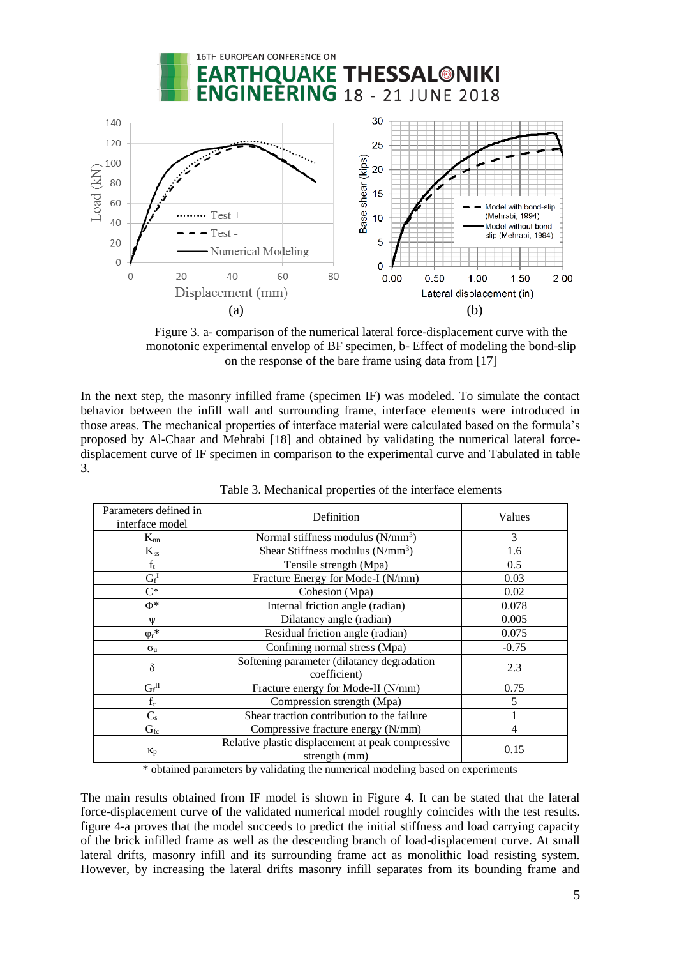

Figure 3. a- comparison of the numerical lateral force-displacement curve with the monotonic experimental envelop of BF specimen, b- Effect of modeling the bond-slip on the response of the bare frame using data from [17]

In the next step, the masonry infilled frame (specimen IF) was modeled. To simulate the contact behavior between the infill wall and surrounding frame, interface elements were introduced in those areas. The mechanical properties of interface material were calculated based on the formula's proposed by Al-Chaar and Mehrabi [18] and obtained by validating the numerical lateral forcedisplacement curve of IF specimen in comparison to the experimental curve and Tabulated in table 3.

| Parameters defined in<br>interface model | Definition                                                         | Values  |
|------------------------------------------|--------------------------------------------------------------------|---------|
| $K_{nn}$                                 | Normal stiffness modulus $(N/mm^3)$                                | 3       |
| $K_{ss}$                                 | Shear Stiffness modulus (N/mm <sup>3</sup> )                       | 1.6     |
| $f_t$                                    | Tensile strength (Mpa)                                             | 0.5     |
| $G_f^I$                                  | Fracture Energy for Mode-I (N/mm)                                  | 0.03    |
| $C^*$                                    | Cohesion (Mpa)                                                     | 0.02    |
| $\Phi^*$                                 | Internal friction angle (radian)                                   | 0.078   |
| W                                        | Dilatancy angle (radian)                                           | 0.005   |
| $\varphi_r$ *                            | Residual friction angle (radian)                                   | 0.075   |
| $\sigma_{\rm u}$                         | Confining normal stress (Mpa)                                      | $-0.75$ |
| $\delta$                                 | Softening parameter (dilatancy degradation<br>coefficient)         | 2.3     |
| $G_f$ <sup>II</sup>                      | Fracture energy for Mode-II (N/mm)                                 | 0.75    |
| $\mathbf{f}_{\rm c}$                     | Compression strength (Mpa)                                         | 5       |
| $C_{\rm s}$                              | Shear traction contribution to the failure                         |         |
| $G_{fc}$                                 | Compressive fracture energy (N/mm)                                 | 4       |
| $K_p$                                    | Relative plastic displacement at peak compressive<br>strength (mm) | 0.15    |

| Table 3. Mechanical properties of the interface elements |  |  |  |
|----------------------------------------------------------|--|--|--|
|----------------------------------------------------------|--|--|--|

\* obtained parameters by validating the numerical modeling based on experiments

The main results obtained from IF model is shown in Figure 4. It can be stated that the lateral force-displacement curve of the validated numerical model roughly coincides with the test results. figure 4-a proves that the model succeeds to predict the initial stiffness and load carrying capacity of the brick infilled frame as well as the descending branch of load-displacement curve. At small lateral drifts, masonry infill and its surrounding frame act as monolithic load resisting system. However, by increasing the lateral drifts masonry infill separates from its bounding frame and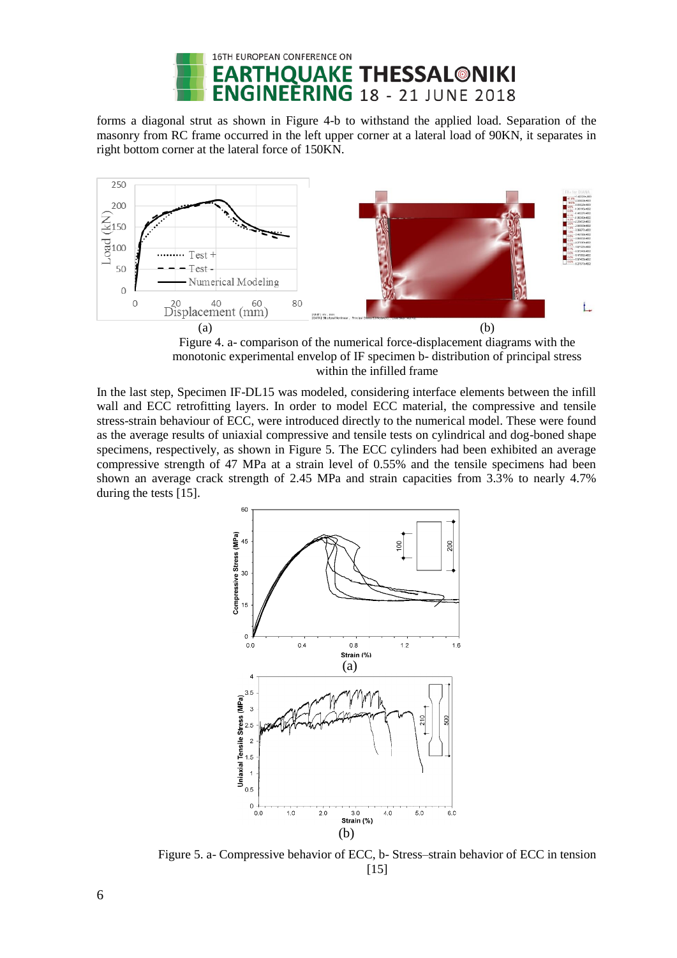

forms a diagonal strut as shown in Figure 4-b to withstand the applied load. Separation of the masonry from RC frame occurred in the left upper corner at a lateral load of 90KN, it separates in right bottom corner at the lateral force of 150KN.



Figure 4. a- comparison of the numerical force-displacement diagrams with the monotonic experimental envelop of IF specimen b- distribution of principal stress within the infilled frame

In the last step, Specimen IF-DL15 was modeled, considering interface elements between the infill wall and ECC retrofitting layers. In order to model ECC material, the compressive and tensile stress-strain behaviour of ECC, were introduced directly to the numerical model. These were found as the average results of uniaxial compressive and tensile tests on cylindrical and dog-boned shape specimens, respectively, as shown in Figure 5. The ECC cylinders had been exhibited an average compressive strength of 47 MPa at a strain level of 0.55% and the tensile specimens had been shown an average crack strength of 2.45 MPa and strain capacities from 3.3% to nearly 4.7% during the tests [15].



Figure 5. a- Compressive behavior of ECC, b- Stress–strain behavior of ECC in tension [15]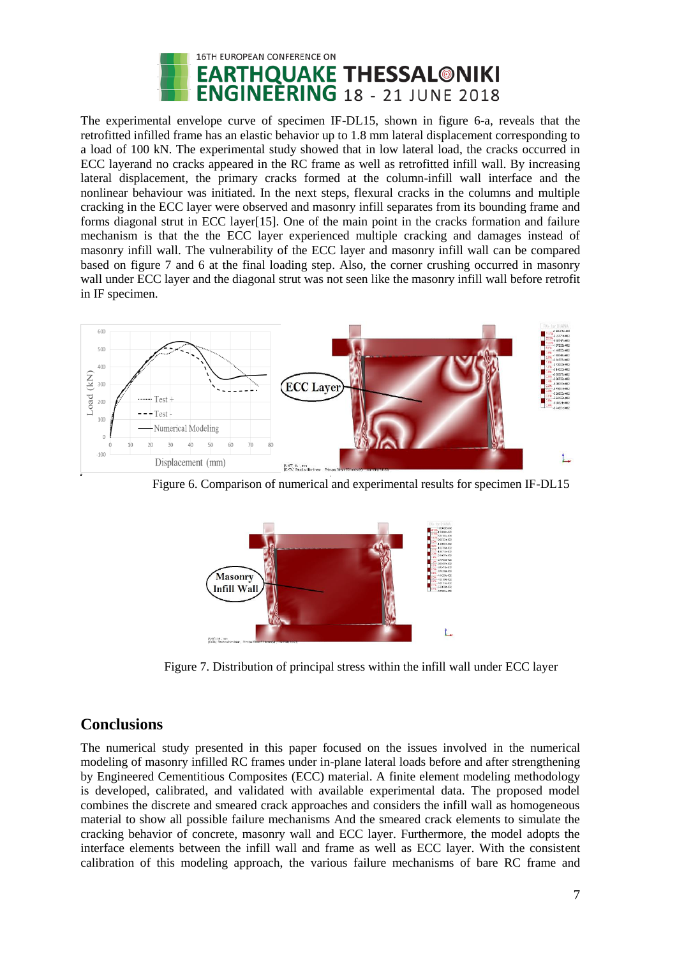

The experimental envelope curve of specimen IF-DL15, shown in figure 6-a, reveals that the retrofitted infilled frame has an elastic behavior up to 1.8 mm lateral displacement corresponding to a load of 100 kN. The experimental study showed that in low lateral load, the cracks occurred in ECC layerand no cracks appeared in the RC frame as well as retrofitted infill wall. By increasing lateral displacement, the primary cracks formed at the column-infill wall interface and the nonlinear behaviour was initiated. In the next steps, flexural cracks in the columns and multiple cracking in the ECC layer were observed and masonry infill separates from its bounding frame and forms diagonal strut in ECC layer[15]. One of the main point in the cracks formation and failure mechanism is that the the ECC layer experienced multiple cracking and damages instead of masonry infill wall. The vulnerability of the ECC layer and masonry infill wall can be compared based on figure 7 and 6 at the final loading step. Also, the corner crushing occurred in masonry wall under ECC layer and the diagonal strut was not seen like the masonry infill wall before retrofit in IF specimen.



Figure 6. Comparison of numerical and experimental results for specimen IF-DL15



Figure 7. Distribution of principal stress within the infill wall under ECC layer

## **Conclusions**

The numerical study presented in this paper focused on the issues involved in the numerical modeling of masonry infilled RC frames under in-plane lateral loads before and after strengthening by Engineered Cementitious Composites (ECC) material. A finite element modeling methodology is developed, calibrated, and validated with available experimental data. The proposed model combines the discrete and smeared crack approaches and considers the infill wall as homogeneous material to show all possible failure mechanisms And the smeared crack elements to simulate the cracking behavior of concrete, masonry wall and ECC layer. Furthermore, the model adopts the interface elements between the infill wall and frame as well as ECC layer. With the consistent calibration of this modeling approach, the various failure mechanisms of bare RC frame and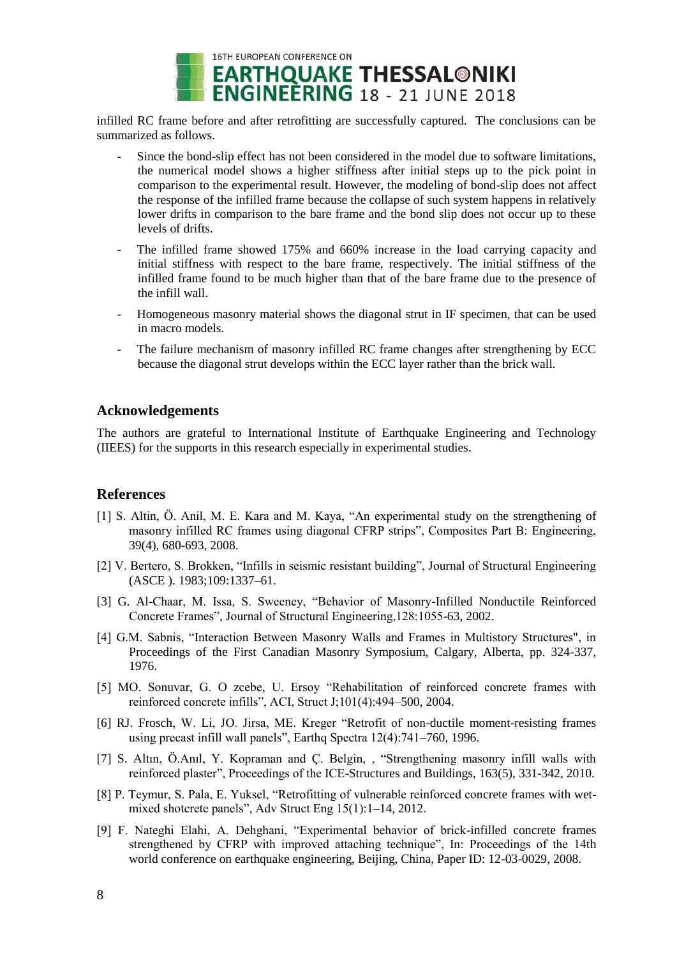

infilled RC frame before and after retrofitting are successfully captured. The conclusions can be summarized as follows.

- Since the bond-slip effect has not been considered in the model due to software limitations, the numerical model shows a higher stiffness after initial steps up to the pick point in comparison to the experimental result. However, the modeling of bond-slip does not affect the response of the infilled frame because the collapse of such system happens in relatively lower drifts in comparison to the bare frame and the bond slip does not occur up to these levels of drifts.
- The infilled frame showed 175% and 660% increase in the load carrying capacity and initial stiffness with respect to the bare frame, respectively. The initial stiffness of the infilled frame found to be much higher than that of the bare frame due to the presence of the infill wall.
- Homogeneous masonry material shows the diagonal strut in IF specimen, that can be used in macro models.
- The failure mechanism of masonry infilled RC frame changes after strengthening by ECC because the diagonal strut develops within the ECC layer rather than the brick wall.

### **Acknowledgements**

The authors are grateful to International Institute of Earthquake Engineering and Technology (IIEES) for the supports in this research especially in experimental studies.

### **References**

- [1] S. Altin, Ö. Anil, M. E. Kara and M. Kaya, "An experimental study on the strengthening of masonry infilled RC frames using diagonal CFRP strips", Composites Part B: Engineering, 39(4), 680-693, 2008.
- [2] V. Bertero, S. Brokken, "Infills in seismic resistant building", Journal of Structural Engineering (ASCE ). 1983;109:1337–61.
- [3] G. Al-Chaar, M. Issa, S. Sweeney, "Behavior of Masonry-Infilled Nonductile Reinforced Concrete Frames", Journal of Structural Engineering,128:1055-63, 2002.
- [4] G.M. Sabnis, "Interaction Between Masonry Walls and Frames in Multistory Structures", in Proceedings of the First Canadian Masonry Symposium, Calgary, Alberta, pp. 324-337, 1976.
- [5] MO. Sonuvar, G. O zcebe, U. Ersoy "Rehabilitation of reinforced concrete frames with reinforced concrete infills", ACI, Struct J;101(4):494–500, 2004.
- [6] RJ. Frosch, W. Li, JO. Jirsa, ME. Kreger "Retrofit of non-ductile moment-resisting frames using precast infill wall panels", Earthq Spectra 12(4):741–760, 1996.
- [7] S. Altın, Ö.Anıl, Y. Kopraman and Ç. Belgin, , "Strengthening masonry infill walls with reinforced plaster", Proceedings of the ICE-Structures and Buildings, 163(5), 331-342, 2010.
- [8] P. Teymur, S. Pala, E. Yuksel, "Retrofitting of vulnerable reinforced concrete frames with wetmixed shotcrete panels", Adv Struct Eng 15(1):1–14, 2012.
- [9] F. Nateghi Elahi, A. Dehghani, "Experimental behavior of brick-infilled concrete frames strengthened by CFRP with improved attaching technique", In: Proceedings of the 14th world conference on earthquake engineering, Beijing, China, Paper ID: 12-03-0029, 2008.